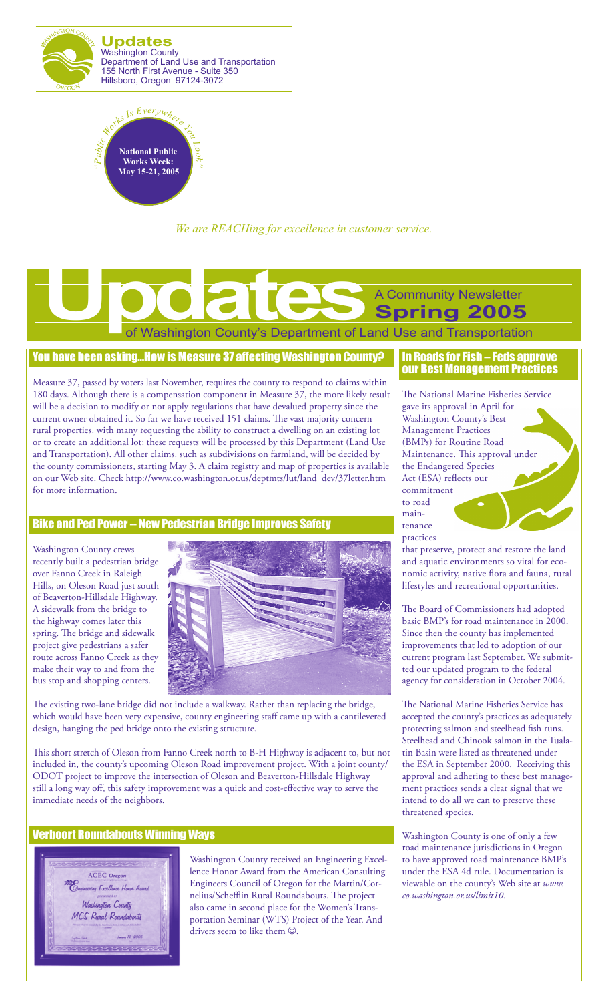



*We are REACHing for excellence in customer service.*

# of Washington County's Department of Land Use and Transportation A Community Newsletter **Spring 2005 Updates Construction County's Department of La**

### You have been asking…How is Measure 37 affecting Washington County?

Measure 37, passed by voters last November, requires the county to respond to claims within 180 days. Although there is a compensation component in Measure 37, the more likely result will be a decision to modify or not apply regulations that have devalued property since the current owner obtained it. So far we have received 151 claims. The vast majority concern rural properties, with many requesting the ability to construct a dwelling on an existing lot or to create an additional lot; these requests will be processed by this Department (Land Use and Transportation). All other claims, such as subdivisions on farmland, will be decided by the county commissioners, starting May 3. A claim registry and map of properties is available on our Web site. Check http://www.co.washington.or.us/deptmts/lut/land\_dev/37letter.htm for more information.

## Bike and Ped Power -- New Pedestrian Bridge Improves Safety

Washington County crews recently built a pedestrian bridge over Fanno Creek in Raleigh Hills, on Oleson Road just south of Beaverton-Hillsdale Highway. A sidewalk from the bridge to the highway comes later this spring. The bridge and sidewalk project give pedestrians a safer route across Fanno Creek as they make their way to and from the bus stop and shopping centers.



The existing two-lane bridge did not include a walkway. Rather than replacing the bridge, which would have been very expensive, county engineering staff came up with a cantilevered design, hanging the ped bridge onto the existing structure.

This short stretch of Oleson from Fanno Creek north to B-H Highway is adjacent to, but not included in, the county's upcoming Oleson Road improvement project. With a joint county/ ODOT project to improve the intersection of Oleson and Beaverton-Hillsdale Highway still a long way off, this safety improvement was a quick and cost-effective way to serve the immediate needs of the neighbors.

## Verboort Roundabouts Winning Ways



Washington County received an Engineering Excellence Honor Award from the American Consulting Engineers Council of Oregon for the Martin/Cornelius/Schefflin Rural Roundabouts. The project also came in second place for the Women's Transportation Seminar (WTS) Project of the Year. And drivers seem to like them  $\odot$ 

### In Roads for Fish – Feds approve our Best Management Practices

The National Marine Fisheries Service gave its approval in April for Washington County's Best Management Practices (BMPs) for Routine Road Maintenance. This approval under the Endangered Species Act (ESA) reflects our commitment to road maintenance practices

that preserve, protect and restore the land and aquatic environments so vital for economic activity, native flora and fauna, rural lifestyles and recreational opportunities.

The Board of Commissioners had adopted basic BMP's for road maintenance in 2000. Since then the county has implemented improvements that led to adoption of our current program last September. We submitted our updated program to the federal agency for consideration in October 2004.

The National Marine Fisheries Service has accepted the county's practices as adequately protecting salmon and steelhead fish runs. Steelhead and Chinook salmon in the Tualatin Basin were listed as threatened under the ESA in September 2000. Receiving this approval and adhering to these best management practices sends a clear signal that we intend to do all we can to preserve these threatened species.

Washington County is one of only a few road maintenance jurisdictions in Oregon to have approved road maintenance BMP's under the ESA 4d rule. Documentation is viewable on the county's Web site at *www. co.washington.or.us/limit10.*